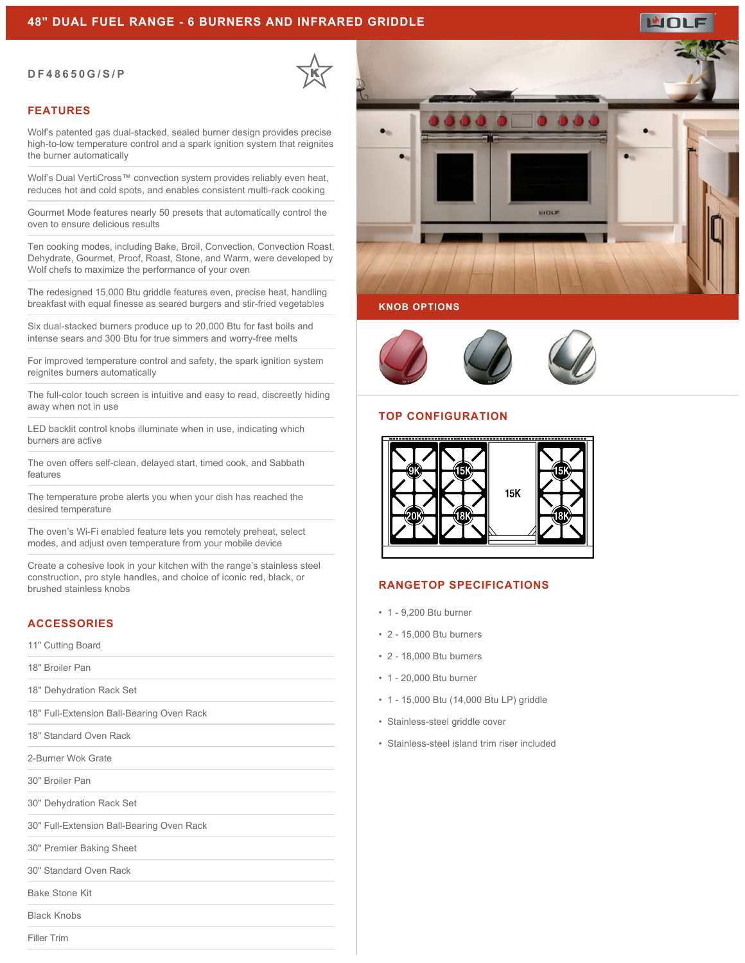## **48" DUAL FUEL RANGE - 6 BURNERS AND INFRARED GRIDDLE**

#### **DF48650G/S/P**



### **FEATURES**

Wolf's patented gas dual-stacked, sealed burner design provides precise high-to-low temperature control and a spark ignition system that reignites the burner automatically

Wolf's Dual VertiCross™ convection system provides reliably even heat, reduces hot and cold spots, and enables consistent multi-rack cooking

Gourmet Mode features nearly 50 presets that automatically control the oven to ensure delicious results

Ten cooking modes, including Bake, Broil, Convection, Convection Roast, Dehydrate, Gourmet, Proof, Roast, Stone, and Warm, were developed by Wolf chefs to maximize the performance of your oven

The redesigned 15,000 Btu griddle features even, precise heat, handling breakfast with equal finesse as seared burgers and stir-fried vegetables

Six dual-stacked burners produce up to 20,000 Btu for fast boils and intense sears and 300 Btu for true simmers and worry-free melts

For improved temperature control and safety, the spark ignition system reignites burners automatically

The full-color touch screen is intuitive and easy to read, discreetly hiding away when not in use

LED backlit control knobs illuminate when in use, indicating which burners are active

The oven offers self-clean, delayed start, timed cook, and Sabbath features

The temperature probe alerts you when your dish has reached the desired temperature

The oven's Wi-Fi enabled feature lets you remotely preheat, select modes, and adjust oven temperature from your mobile device

Create a cohesive look in your kitchen with the range's stainless steel construction, pro style handles, and choice of iconic red, black, or brushed stainless knobs

# **ACCESSORIES**

11" Cutting Board

18" Broiler Pan

18" Dehydration Rack Set

18" Full-Extension Ball-Bearing Oven Rack

18" Standard Oven Rack

2-Burner Wok Grate

30" Broiler Pan

30" Dehydration Rack Set

30" Full-Extension Ball-Bearing Oven Rack

30" Premier Baking Sheet

30" Standard Oven Rack

Bake Stone Kit

Black Knobs

Filler Trim



### **KNOB OPTIONS**



#### **TOP CONFIGURATION**



#### **RANGETOP SPECIFICATIONS**

- 1 9,200 Btu burner
- 2 15,000 Btu burners
- 2 18,000 Btu burners
- 1 20,000 Btu burner
- 1 15,000 Btu (14,000 Btu LP) griddle
- Stainless-steel griddle cover
- Stainless-steel island trim riser included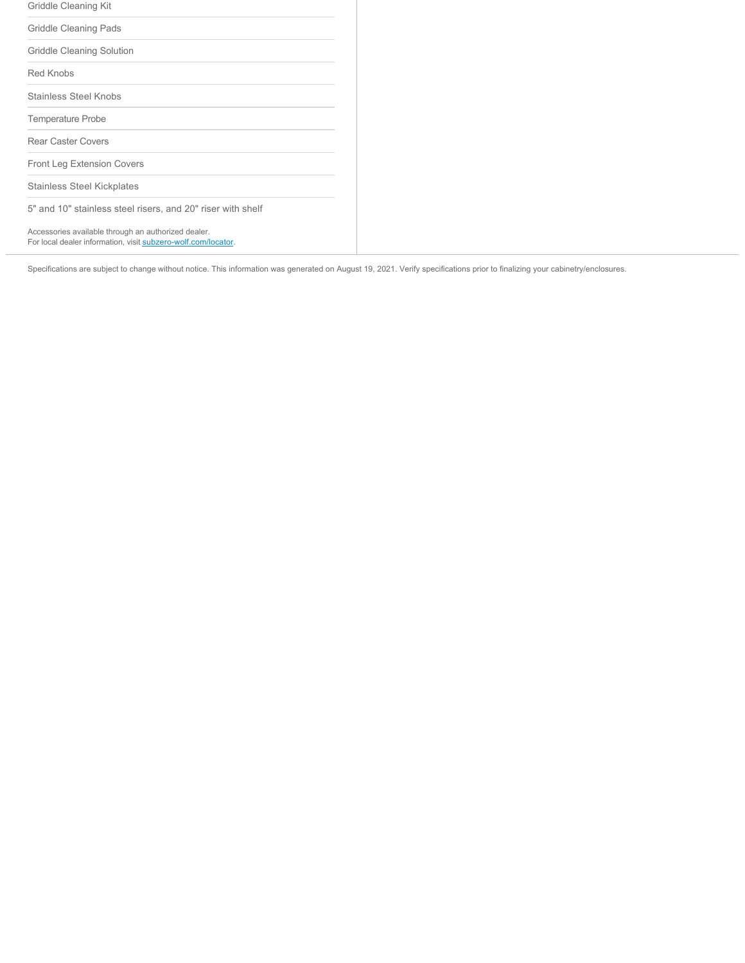| Griddle Cleaning Kit                                                                                                 |
|----------------------------------------------------------------------------------------------------------------------|
| Griddle Cleaning Pads                                                                                                |
| Griddle Cleaning Solution                                                                                            |
| Red Knobs                                                                                                            |
| Stainless Steel Knobs                                                                                                |
| <b>Temperature Probe</b>                                                                                             |
| <b>Rear Caster Covers</b>                                                                                            |
| <b>Front Leg Extension Covers</b>                                                                                    |
| <b>Stainless Steel Kickplates</b>                                                                                    |
| 5" and 10" stainless steel risers, and 20" riser with shelf                                                          |
| Accessories available through an authorized dealer.<br>For local dealer information, visit subzero-wolf.com/locator. |

Specifications are subject to change without notice. This information was generated on August 19, 2021. Verify specifications prior to finalizing your cabinetry/enclosures.